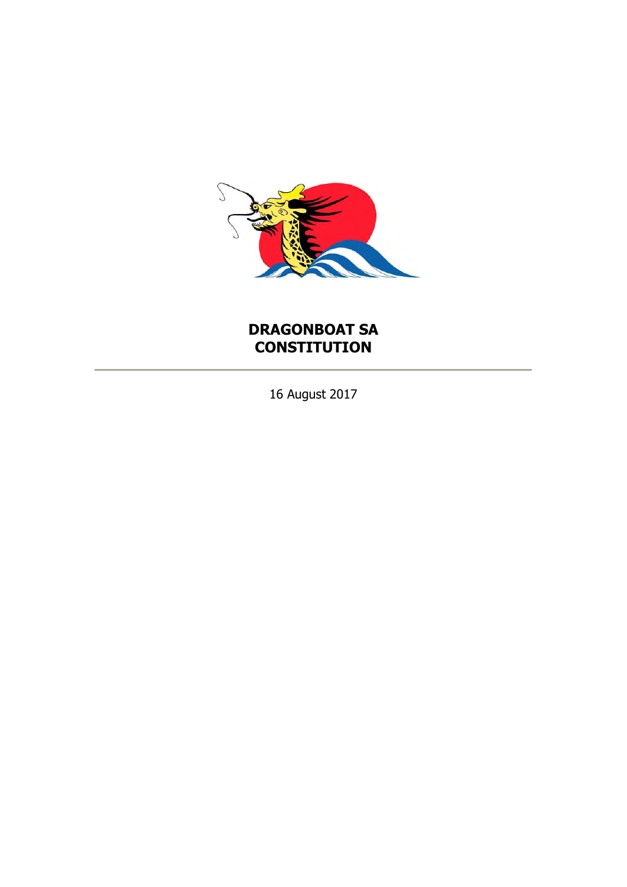

# **DRAGONBOAT SA CONSTITUTION**

16 August 2017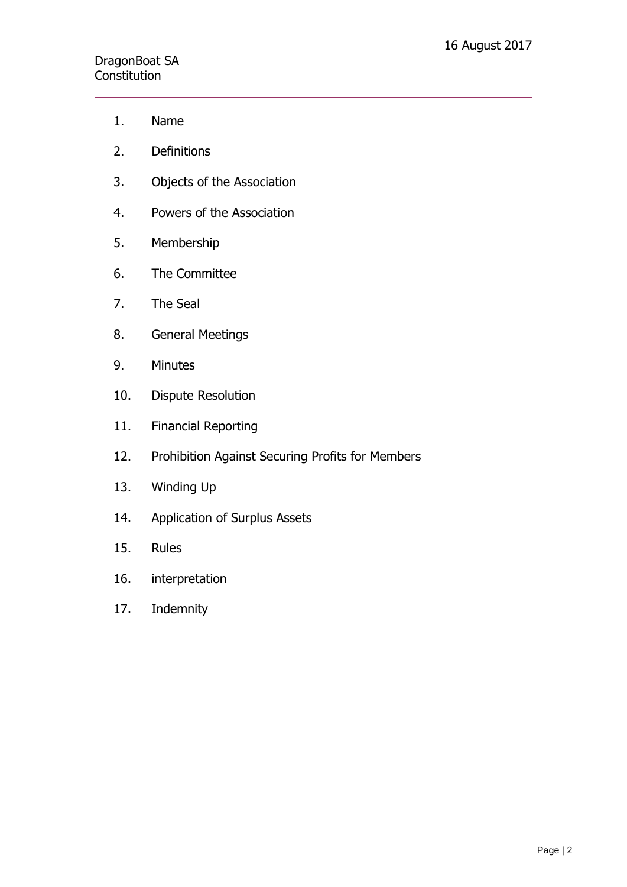# DragonBoat SA **Constitution**

- 1. Name
- 2. Definitions
- 3. Objects of the Association
- 4. Powers of the Association
- 5. Membership
- 6. The Committee
- 7. The Seal
- 8. General Meetings
- 9. Minutes
- 10. Dispute Resolution
- 11. Financial Reporting
- 12. Prohibition Against Securing Profits for Members
- 13. Winding Up
- 14. Application of Surplus Assets
- 15. Rules
- 16. interpretation
- 17. Indemnity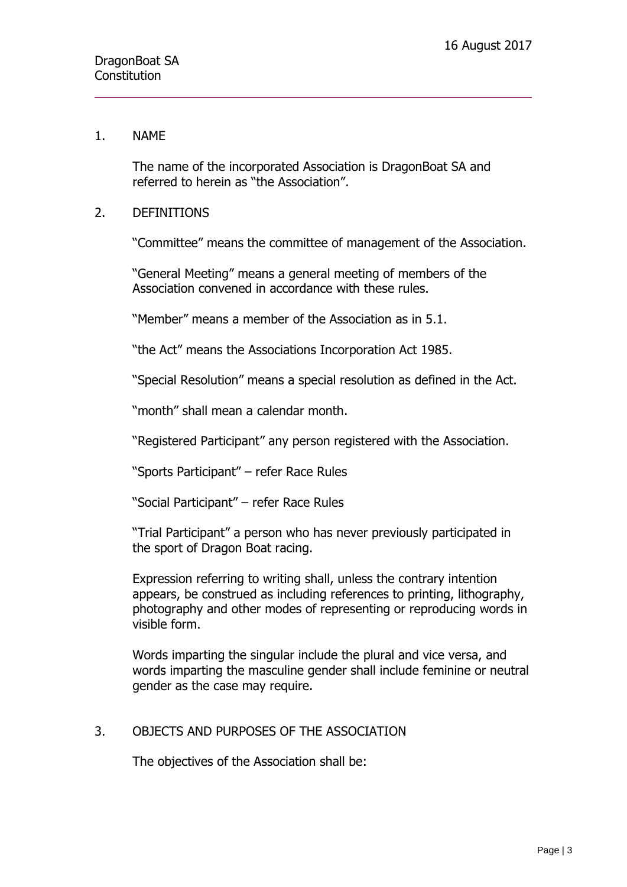#### 1. NAME

The name of the incorporated Association is DragonBoat SA and referred to herein as "the Association".

#### 2. DEFINITIONS

"Committee" means the committee of management of the Association.

"General Meeting" means a general meeting of members of the Association convened in accordance with these rules.

"Member" means a member of the Association as in 5.1.

"the Act" means the Associations Incorporation Act 1985.

"Special Resolution" means a special resolution as defined in the Act.

"month" shall mean a calendar month.

"Registered Participant" any person registered with the Association.

"Sports Participant" – refer Race Rules

"Social Participant" – refer Race Rules

"Trial Participant" a person who has never previously participated in the sport of Dragon Boat racing.

Expression referring to writing shall, unless the contrary intention appears, be construed as including references to printing, lithography, photography and other modes of representing or reproducing words in visible form.

Words imparting the singular include the plural and vice versa, and words imparting the masculine gender shall include feminine or neutral gender as the case may require.

#### 3. OBJECTS AND PURPOSES OF THE ASSOCIATION

The objectives of the Association shall be: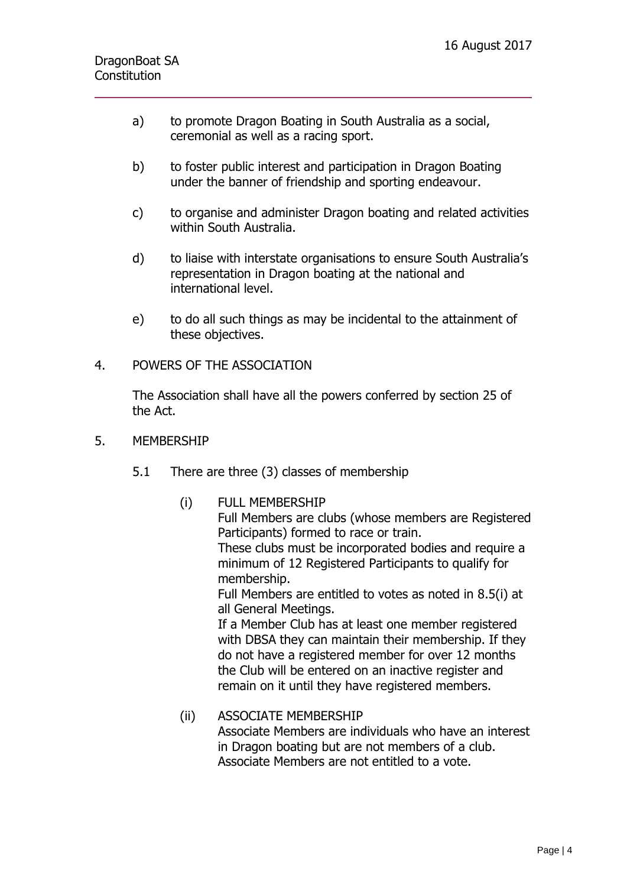- a) to promote Dragon Boating in South Australia as a social, ceremonial as well as a racing sport.
- b) to foster public interest and participation in Dragon Boating under the banner of friendship and sporting endeavour.
- c) to organise and administer Dragon boating and related activities within South Australia.
- d) to liaise with interstate organisations to ensure South Australia's representation in Dragon boating at the national and international level.
- e) to do all such things as may be incidental to the attainment of these objectives.

### 4. POWERS OF THE ASSOCIATION

The Association shall have all the powers conferred by section 25 of the Act.

- 5. MEMBERSHIP
	- 5.1 There are three (3) classes of membership
		- (i) FULL MEMBERSHIP Full Members are clubs (whose members are Registered Participants) formed to race or train. These clubs must be incorporated bodies and require a minimum of 12 Registered Participants to qualify for membership. Full Members are entitled to votes as noted in 8.5(i) at all General Meetings. If a Member Club has at least one member registered with DBSA they can maintain their membership. If they do not have a registered member for over 12 months the Club will be entered on an inactive register and remain on it until they have registered members.
		- (ii) ASSOCIATE MEMBERSHIP Associate Members are individuals who have an interest in Dragon boating but are not members of a club. Associate Members are not entitled to a vote.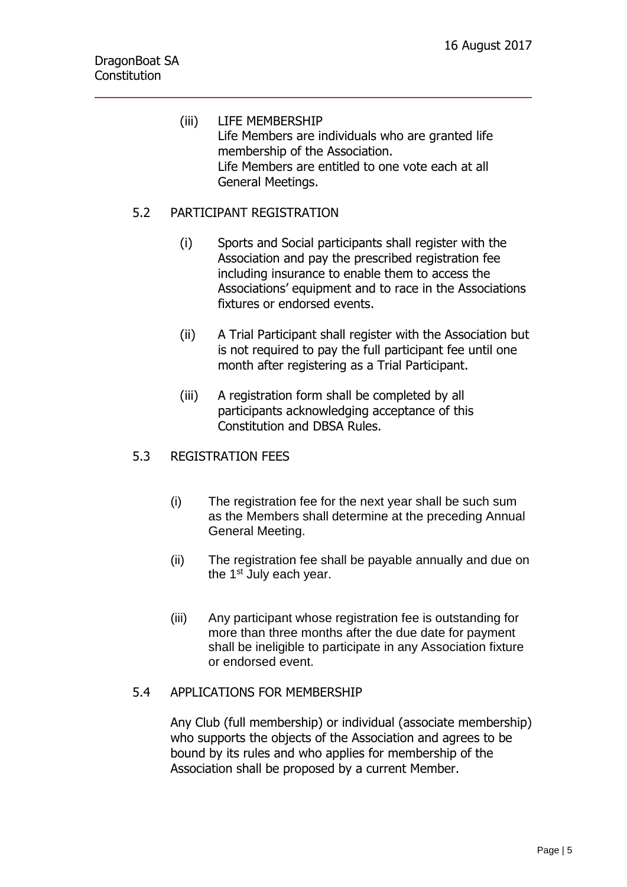(iii) LIFE MEMBERSHIP Life Members are individuals who are granted life membership of the Association. Life Members are entitled to one vote each at all General Meetings.

# 5.2 PARTICIPANT REGISTRATION

- (i) Sports and Social participants shall register with the Association and pay the prescribed registration fee including insurance to enable them to access the Associations' equipment and to race in the Associations fixtures or endorsed events.
- (ii) A Trial Participant shall register with the Association but is not required to pay the full participant fee until one month after registering as a Trial Participant.
- (iii) A registration form shall be completed by all participants acknowledging acceptance of this Constitution and DBSA Rules.

# 5.3 REGISTRATION FEES

- (i) The registration fee for the next year shall be such sum as the Members shall determine at the preceding Annual General Meeting.
- (ii) The registration fee shall be payable annually and due on the  $1<sup>st</sup>$  July each year.
- (iii) Any participant whose registration fee is outstanding for more than three months after the due date for payment shall be ineligible to participate in any Association fixture or endorsed event.

# 5.4 APPLICATIONS FOR MEMBERSHIP

Any Club (full membership) or individual (associate membership) who supports the objects of the Association and agrees to be bound by its rules and who applies for membership of the Association shall be proposed by a current Member.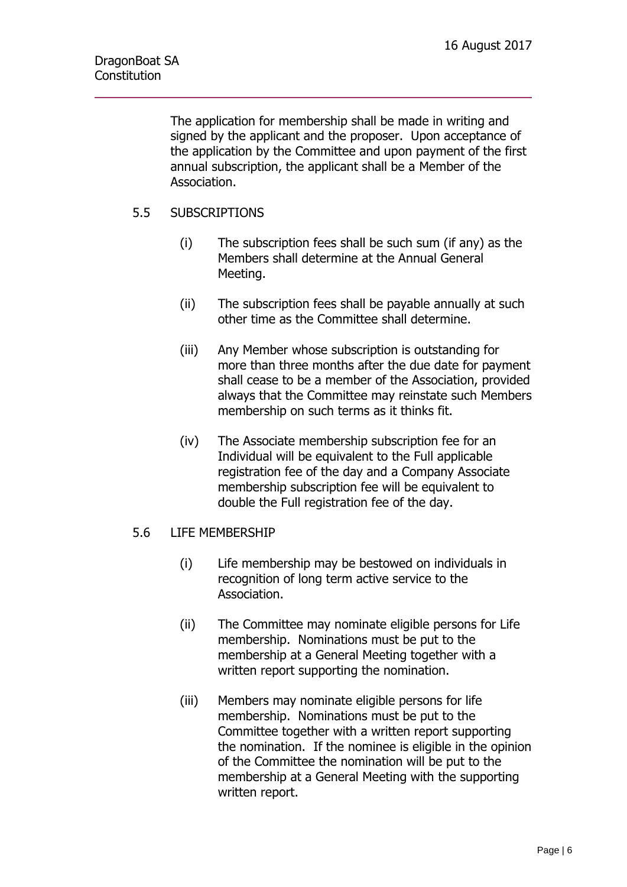The application for membership shall be made in writing and signed by the applicant and the proposer. Upon acceptance of the application by the Committee and upon payment of the first annual subscription, the applicant shall be a Member of the Association.

# 5.5 SUBSCRIPTIONS

- (i) The subscription fees shall be such sum (if any) as the Members shall determine at the Annual General Meeting.
- (ii) The subscription fees shall be payable annually at such other time as the Committee shall determine.
- (iii) Any Member whose subscription is outstanding for more than three months after the due date for payment shall cease to be a member of the Association, provided always that the Committee may reinstate such Members membership on such terms as it thinks fit.
- (iv) The Associate membership subscription fee for an Individual will be equivalent to the Full applicable registration fee of the day and a Company Associate membership subscription fee will be equivalent to double the Full registration fee of the day.

# 5.6 LIFE MEMBERSHIP

- (i) Life membership may be bestowed on individuals in recognition of long term active service to the Association.
- (ii) The Committee may nominate eligible persons for Life membership. Nominations must be put to the membership at a General Meeting together with a written report supporting the nomination.
- (iii) Members may nominate eligible persons for life membership. Nominations must be put to the Committee together with a written report supporting the nomination. If the nominee is eligible in the opinion of the Committee the nomination will be put to the membership at a General Meeting with the supporting written report.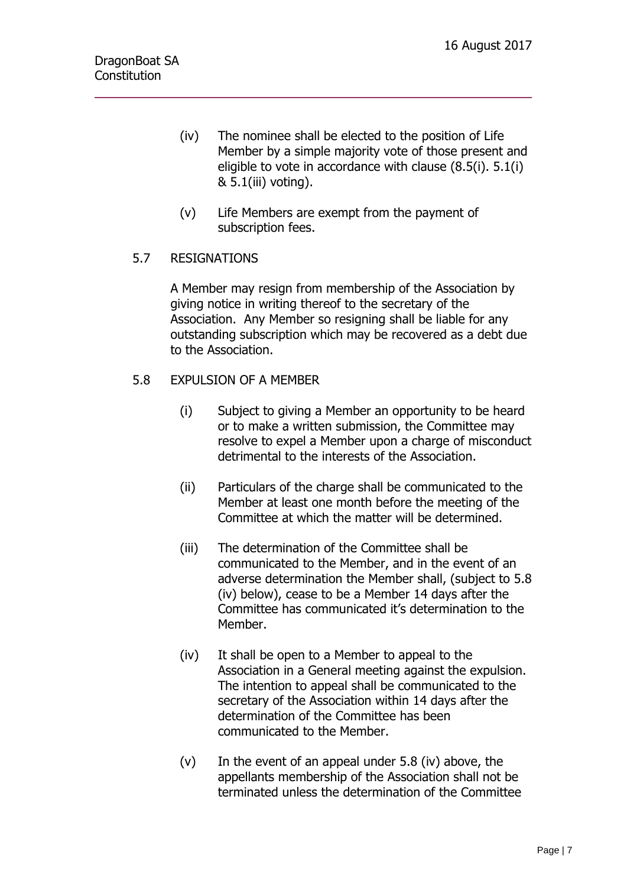- (iv) The nominee shall be elected to the position of Life Member by a simple majority vote of those present and eligible to vote in accordance with clause (8.5(i). 5.1(i) & 5.1(iii) voting).
- (v) Life Members are exempt from the payment of subscription fees.

# 5.7 RESIGNATIONS

A Member may resign from membership of the Association by giving notice in writing thereof to the secretary of the Association. Any Member so resigning shall be liable for any outstanding subscription which may be recovered as a debt due to the Association.

# 5.8 EXPULSION OF A MEMBER

- (i) Subject to giving a Member an opportunity to be heard or to make a written submission, the Committee may resolve to expel a Member upon a charge of misconduct detrimental to the interests of the Association.
- (ii) Particulars of the charge shall be communicated to the Member at least one month before the meeting of the Committee at which the matter will be determined.
- (iii) The determination of the Committee shall be communicated to the Member, and in the event of an adverse determination the Member shall, (subject to 5.8 (iv) below), cease to be a Member 14 days after the Committee has communicated it's determination to the Member.
- (iv) It shall be open to a Member to appeal to the Association in a General meeting against the expulsion. The intention to appeal shall be communicated to the secretary of the Association within 14 days after the determination of the Committee has been communicated to the Member.
- $(v)$  In the event of an appeal under 5.8 (iv) above, the appellants membership of the Association shall not be terminated unless the determination of the Committee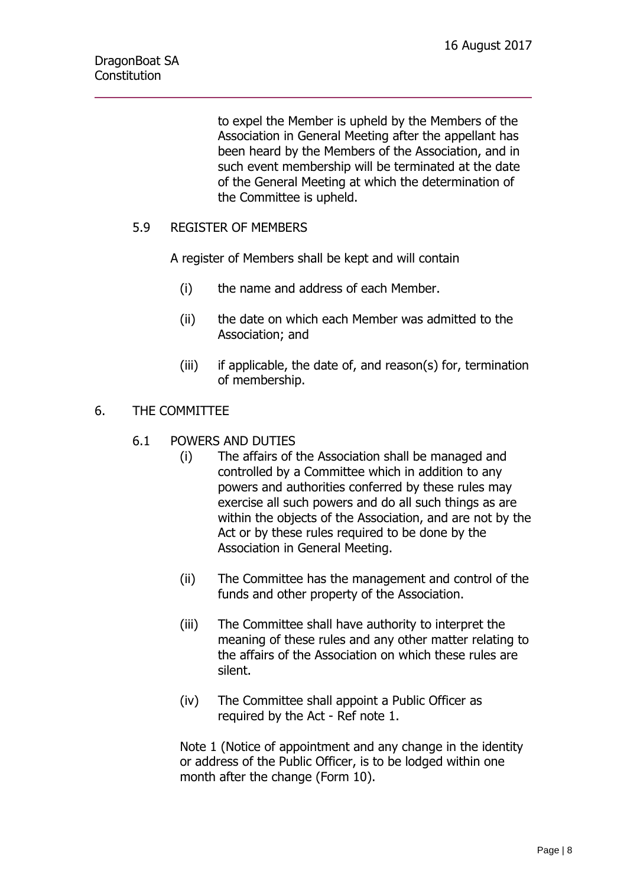to expel the Member is upheld by the Members of the Association in General Meeting after the appellant has been heard by the Members of the Association, and in such event membership will be terminated at the date of the General Meeting at which the determination of the Committee is upheld.

# 5.9 REGISTER OF MEMBERS

A register of Members shall be kept and will contain

- (i) the name and address of each Member.
- (ii) the date on which each Member was admitted to the Association; and
- (iii) if applicable, the date of, and reason(s) for, termination of membership.

# 6. THE COMMITTEE

- 6.1 POWERS AND DUTIES
	- (i) The affairs of the Association shall be managed and controlled by a Committee which in addition to any powers and authorities conferred by these rules may exercise all such powers and do all such things as are within the objects of the Association, and are not by the Act or by these rules required to be done by the Association in General Meeting.
	- (ii) The Committee has the management and control of the funds and other property of the Association.
	- (iii) The Committee shall have authority to interpret the meaning of these rules and any other matter relating to the affairs of the Association on which these rules are silent.
	- (iv) The Committee shall appoint a Public Officer as required by the Act - Ref note 1.

Note 1 (Notice of appointment and any change in the identity or address of the Public Officer, is to be lodged within one month after the change (Form 10).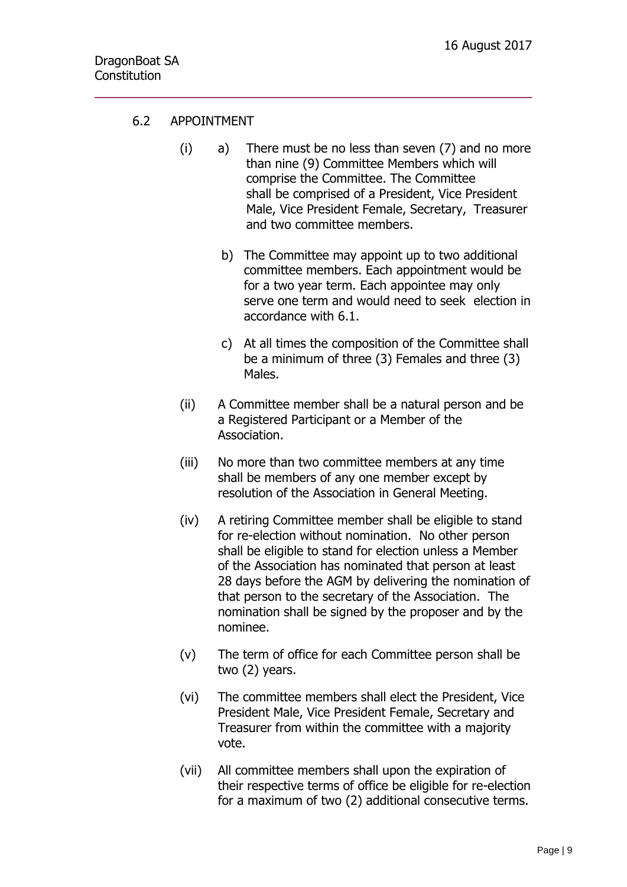# 6.2 APPOINTMENT

- (i) a) There must be no less than seven (7) and no more than nine (9) Committee Members which will comprise the Committee. The Committee shall be comprised of a President, Vice President Male, Vice President Female, Secretary, Treasurer and two committee members.
	- b) The Committee may appoint up to two additional committee members. Each appointment would be for a two year term. Each appointee may only serve one term and would need to seek election in accordance with 6.1.
	- c) At all times the composition of the Committee shall be a minimum of three (3) Females and three (3) Males.
- (ii) A Committee member shall be a natural person and be a Registered Participant or a Member of the Association.
- (iii) No more than two committee members at any time shall be members of any one member except by resolution of the Association in General Meeting.
- (iv) A retiring Committee member shall be eligible to stand for re-election without nomination. No other person shall be eligible to stand for election unless a Member of the Association has nominated that person at least 28 days before the AGM by delivering the nomination of that person to the secretary of the Association. The nomination shall be signed by the proposer and by the nominee.
- (v) The term of office for each Committee person shall be two (2) years.
- (vi) The committee members shall elect the President, Vice President Male, Vice President Female, Secretary and Treasurer from within the committee with a majority vote.
- (vii) All committee members shall upon the expiration of their respective terms of office be eligible for re-election for a maximum of two (2) additional consecutive terms.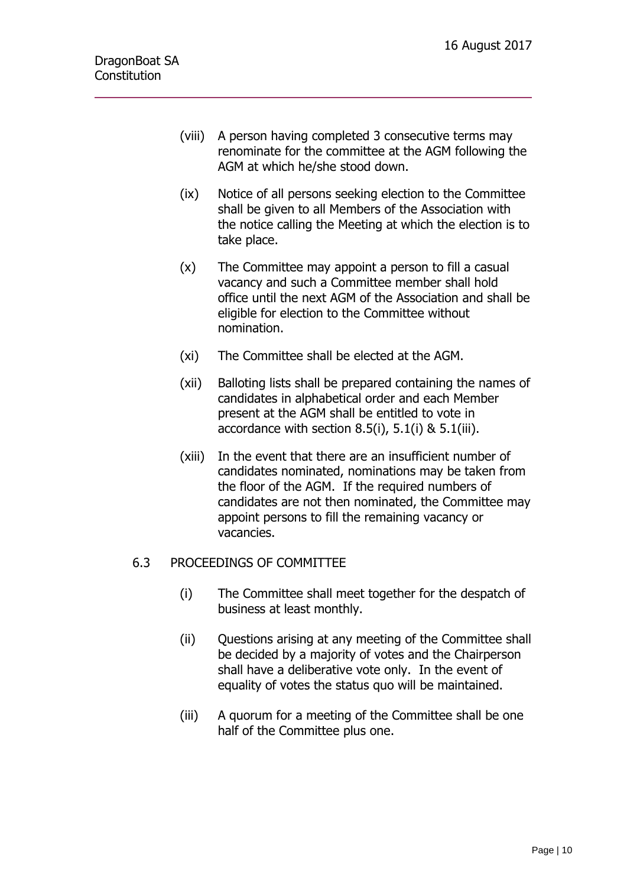- (viii) A person having completed 3 consecutive terms may renominate for the committee at the AGM following the AGM at which he/she stood down.
- (ix) Notice of all persons seeking election to the Committee shall be given to all Members of the Association with the notice calling the Meeting at which the election is to take place.
- (x) The Committee may appoint a person to fill a casual vacancy and such a Committee member shall hold office until the next AGM of the Association and shall be eligible for election to the Committee without nomination.
- (xi) The Committee shall be elected at the AGM.
- (xii) Balloting lists shall be prepared containing the names of candidates in alphabetical order and each Member present at the AGM shall be entitled to vote in accordance with section  $8.5(i)$ ,  $5.1(i)$  &  $5.1(iii)$ .
- (xiii) In the event that there are an insufficient number of candidates nominated, nominations may be taken from the floor of the AGM. If the required numbers of candidates are not then nominated, the Committee may appoint persons to fill the remaining vacancy or vacancies.

# 6.3 PROCEEDINGS OF COMMITTEE

- (i) The Committee shall meet together for the despatch of business at least monthly.
- (ii) Questions arising at any meeting of the Committee shall be decided by a majority of votes and the Chairperson shall have a deliberative vote only. In the event of equality of votes the status quo will be maintained.
- (iii) A quorum for a meeting of the Committee shall be one half of the Committee plus one.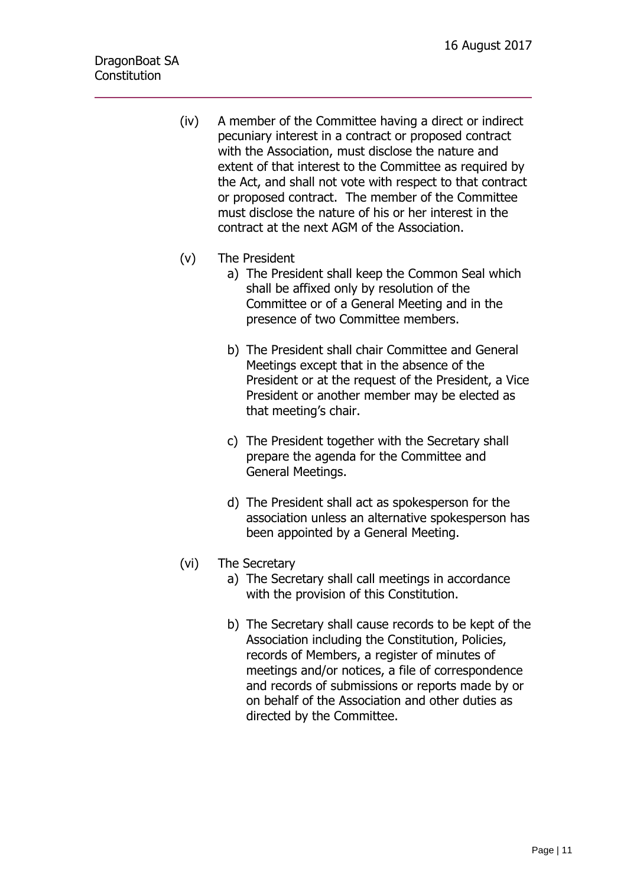- (iv) A member of the Committee having a direct or indirect pecuniary interest in a contract or proposed contract with the Association, must disclose the nature and extent of that interest to the Committee as required by the Act, and shall not vote with respect to that contract or proposed contract. The member of the Committee must disclose the nature of his or her interest in the contract at the next AGM of the Association.
- (v) The President
	- a) The President shall keep the Common Seal which shall be affixed only by resolution of the Committee or of a General Meeting and in the presence of two Committee members.
	- b) The President shall chair Committee and General Meetings except that in the absence of the President or at the request of the President, a Vice President or another member may be elected as that meeting's chair.
	- c) The President together with the Secretary shall prepare the agenda for the Committee and General Meetings.
	- d) The President shall act as spokesperson for the association unless an alternative spokesperson has been appointed by a General Meeting.
- (vi) The Secretary
	- a) The Secretary shall call meetings in accordance with the provision of this Constitution.
	- b) The Secretary shall cause records to be kept of the Association including the Constitution, Policies, records of Members, a register of minutes of meetings and/or notices, a file of correspondence and records of submissions or reports made by or on behalf of the Association and other duties as directed by the Committee.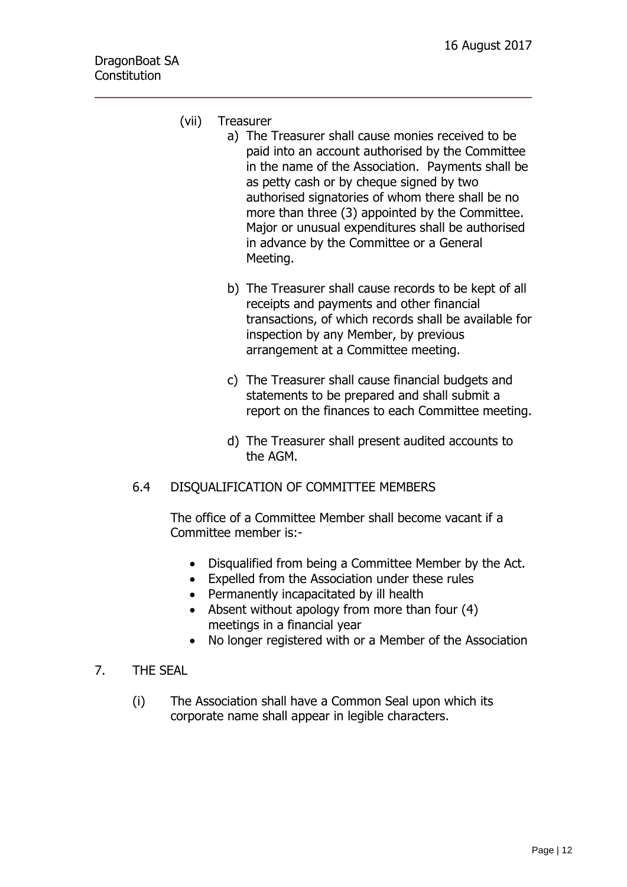- (vii) Treasurer
	- a) The Treasurer shall cause monies received to be paid into an account authorised by the Committee in the name of the Association. Payments shall be as petty cash or by cheque signed by two authorised signatories of whom there shall be no more than three (3) appointed by the Committee. Major or unusual expenditures shall be authorised in advance by the Committee or a General Meeting.
		- b) The Treasurer shall cause records to be kept of all receipts and payments and other financial transactions, of which records shall be available for inspection by any Member, by previous arrangement at a Committee meeting.
		- c) The Treasurer shall cause financial budgets and statements to be prepared and shall submit a report on the finances to each Committee meeting.
		- d) The Treasurer shall present audited accounts to the AGM.
- 6.4 DISQUALIFICATION OF COMMITTEE MEMBERS

The office of a Committee Member shall become vacant if a Committee member is:-

- Disqualified from being a Committee Member by the Act.
- Expelled from the Association under these rules
- Permanently incapacitated by ill health
- Absent without apology from more than four (4) meetings in a financial year
- No longer registered with or a Member of the Association
- 7. THE SEAL
	- (i) The Association shall have a Common Seal upon which its corporate name shall appear in legible characters.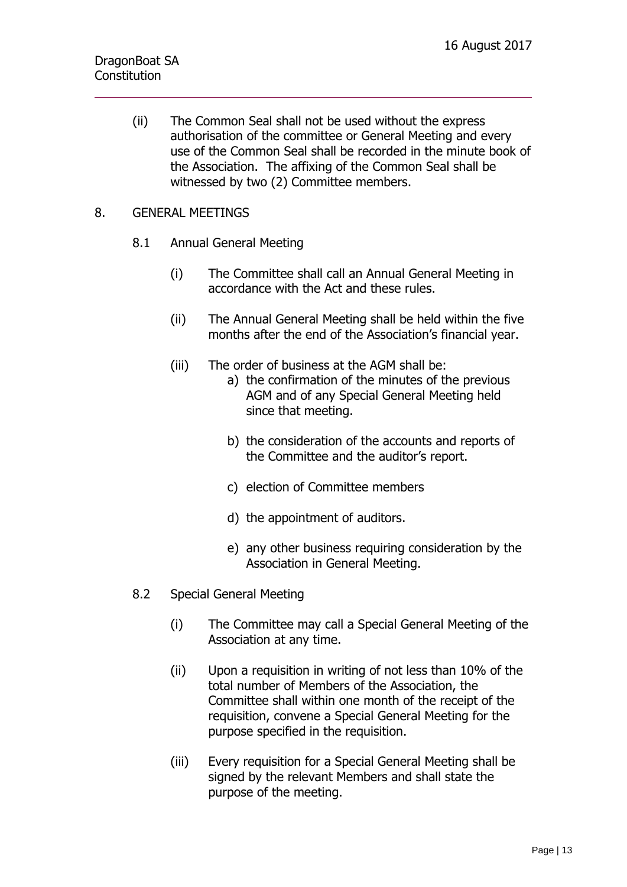(ii) The Common Seal shall not be used without the express authorisation of the committee or General Meeting and every use of the Common Seal shall be recorded in the minute book of the Association. The affixing of the Common Seal shall be witnessed by two (2) Committee members.

### 8. GENERAL MEETINGS

- 8.1 Annual General Meeting
	- (i) The Committee shall call an Annual General Meeting in accordance with the Act and these rules.
	- (ii) The Annual General Meeting shall be held within the five months after the end of the Association's financial year.
	- (iii) The order of business at the AGM shall be:
		- a) the confirmation of the minutes of the previous AGM and of any Special General Meeting held since that meeting.
			- b) the consideration of the accounts and reports of the Committee and the auditor's report.
			- c) election of Committee members
			- d) the appointment of auditors.
			- e) any other business requiring consideration by the Association in General Meeting.
- 8.2 Special General Meeting
	- (i) The Committee may call a Special General Meeting of the Association at any time.
	- (ii) Upon a requisition in writing of not less than 10% of the total number of Members of the Association, the Committee shall within one month of the receipt of the requisition, convene a Special General Meeting for the purpose specified in the requisition.
	- (iii) Every requisition for a Special General Meeting shall be signed by the relevant Members and shall state the purpose of the meeting.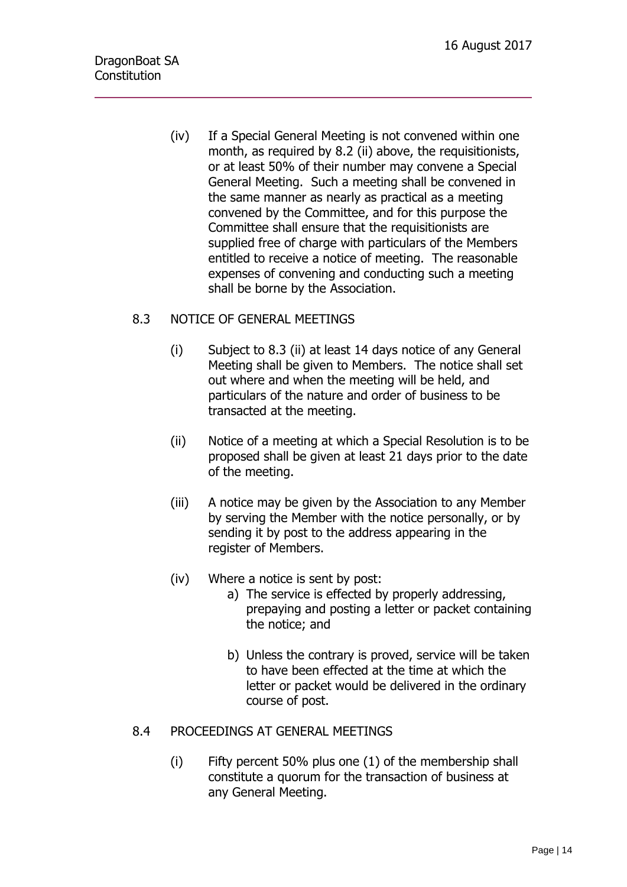(iv) If a Special General Meeting is not convened within one month, as required by 8.2 (ii) above, the requisitionists, or at least 50% of their number may convene a Special General Meeting. Such a meeting shall be convened in the same manner as nearly as practical as a meeting convened by the Committee, and for this purpose the Committee shall ensure that the requisitionists are supplied free of charge with particulars of the Members entitled to receive a notice of meeting. The reasonable expenses of convening and conducting such a meeting shall be borne by the Association.

# 8.3 NOTICE OF GENERAL MEETINGS

- (i) Subject to 8.3 (ii) at least 14 days notice of any General Meeting shall be given to Members. The notice shall set out where and when the meeting will be held, and particulars of the nature and order of business to be transacted at the meeting.
- (ii) Notice of a meeting at which a Special Resolution is to be proposed shall be given at least 21 days prior to the date of the meeting.
- (iii) A notice may be given by the Association to any Member by serving the Member with the notice personally, or by sending it by post to the address appearing in the register of Members.
- (iv) Where a notice is sent by post:
	- a) The service is effected by properly addressing, prepaying and posting a letter or packet containing the notice; and
	- b) Unless the contrary is proved, service will be taken to have been effected at the time at which the letter or packet would be delivered in the ordinary course of post.
- 8.4 PROCEEDINGS AT GENERAL MEETINGS
	- (i) Fifty percent 50% plus one (1) of the membership shall constitute a quorum for the transaction of business at any General Meeting.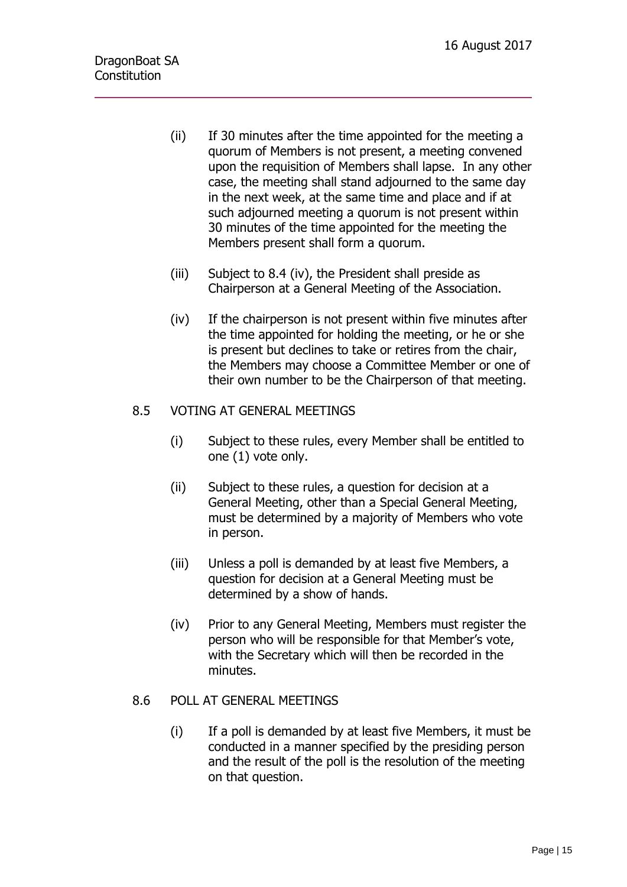- (ii) If 30 minutes after the time appointed for the meeting a quorum of Members is not present, a meeting convened upon the requisition of Members shall lapse. In any other case, the meeting shall stand adjourned to the same day in the next week, at the same time and place and if at such adjourned meeting a quorum is not present within 30 minutes of the time appointed for the meeting the Members present shall form a quorum.
- (iii) Subject to 8.4 (iv), the President shall preside as Chairperson at a General Meeting of the Association.
- (iv) If the chairperson is not present within five minutes after the time appointed for holding the meeting, or he or she is present but declines to take or retires from the chair, the Members may choose a Committee Member or one of their own number to be the Chairperson of that meeting.

# 8.5 VOTING AT GENERAL MEETINGS

- (i) Subject to these rules, every Member shall be entitled to one (1) vote only.
- (ii) Subject to these rules, a question for decision at a General Meeting, other than a Special General Meeting, must be determined by a majority of Members who vote in person.
- (iii) Unless a poll is demanded by at least five Members, a question for decision at a General Meeting must be determined by a show of hands.
- (iv) Prior to any General Meeting, Members must register the person who will be responsible for that Member's vote, with the Secretary which will then be recorded in the minutes.

# 8.6 POLL AT GENERAL MEETINGS

(i) If a poll is demanded by at least five Members, it must be conducted in a manner specified by the presiding person and the result of the poll is the resolution of the meeting on that question.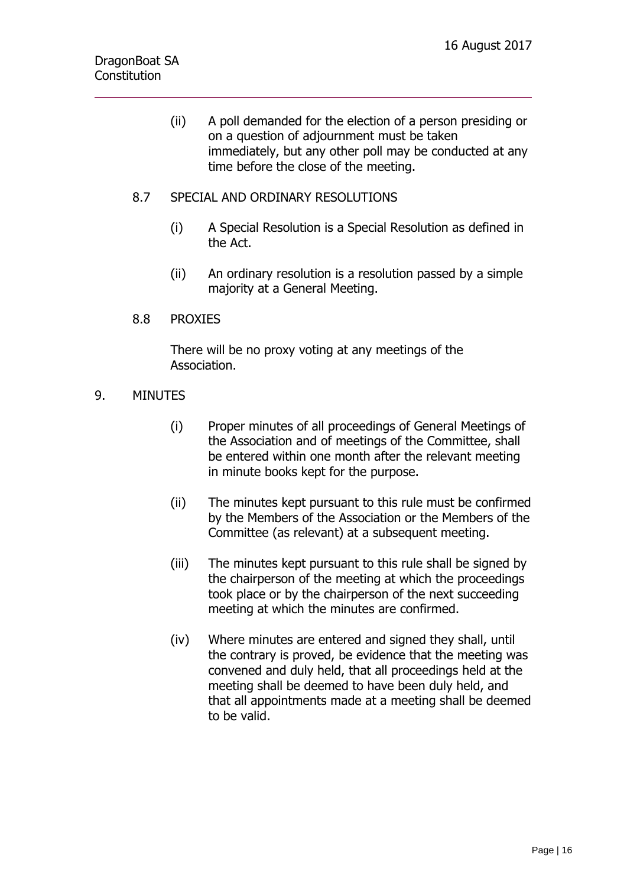- (ii) A poll demanded for the election of a person presiding or on a question of adjournment must be taken immediately, but any other poll may be conducted at any time before the close of the meeting.
- 8.7 SPECIAL AND ORDINARY RESOLUTIONS
	- (i) A Special Resolution is a Special Resolution as defined in the Act.
	- (ii) An ordinary resolution is a resolution passed by a simple majority at a General Meeting.

# 8.8 PROXIES

There will be no proxy voting at any meetings of the Association.

### 9. MINUTES

- (i) Proper minutes of all proceedings of General Meetings of the Association and of meetings of the Committee, shall be entered within one month after the relevant meeting in minute books kept for the purpose.
- (ii) The minutes kept pursuant to this rule must be confirmed by the Members of the Association or the Members of the Committee (as relevant) at a subsequent meeting.
- (iii) The minutes kept pursuant to this rule shall be signed by the chairperson of the meeting at which the proceedings took place or by the chairperson of the next succeeding meeting at which the minutes are confirmed.
- (iv) Where minutes are entered and signed they shall, until the contrary is proved, be evidence that the meeting was convened and duly held, that all proceedings held at the meeting shall be deemed to have been duly held, and that all appointments made at a meeting shall be deemed to be valid.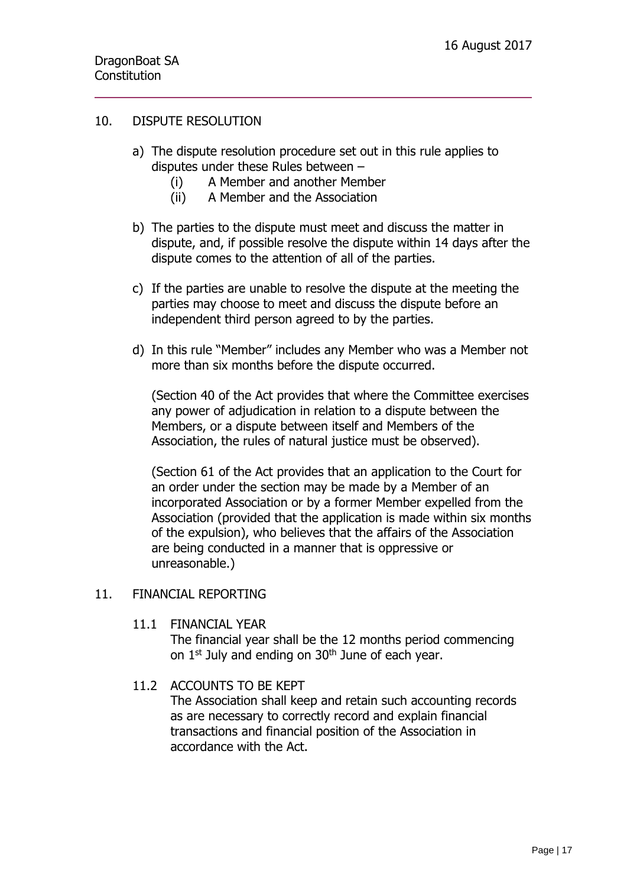### 10. DISPUTE RESOLUTION

- a) The dispute resolution procedure set out in this rule applies to disputes under these Rules between –
	- (i) A Member and another Member
	- (ii) A Member and the Association
- b) The parties to the dispute must meet and discuss the matter in dispute, and, if possible resolve the dispute within 14 days after the dispute comes to the attention of all of the parties.
- c) If the parties are unable to resolve the dispute at the meeting the parties may choose to meet and discuss the dispute before an independent third person agreed to by the parties.
- d) In this rule "Member" includes any Member who was a Member not more than six months before the dispute occurred.

(Section 40 of the Act provides that where the Committee exercises any power of adjudication in relation to a dispute between the Members, or a dispute between itself and Members of the Association, the rules of natural justice must be observed).

(Section 61 of the Act provides that an application to the Court for an order under the section may be made by a Member of an incorporated Association or by a former Member expelled from the Association (provided that the application is made within six months of the expulsion), who believes that the affairs of the Association are being conducted in a manner that is oppressive or unreasonable.)

#### 11. FINANCIAL REPORTING

11.1 FINANCIAL YEAR The financial year shall be the 12 months period commencing on  $1<sup>st</sup>$  July and ending on  $30<sup>th</sup>$  June of each year.

# 11.2 ACCOUNTS TO BE KEPT

The Association shall keep and retain such accounting records as are necessary to correctly record and explain financial transactions and financial position of the Association in accordance with the Act.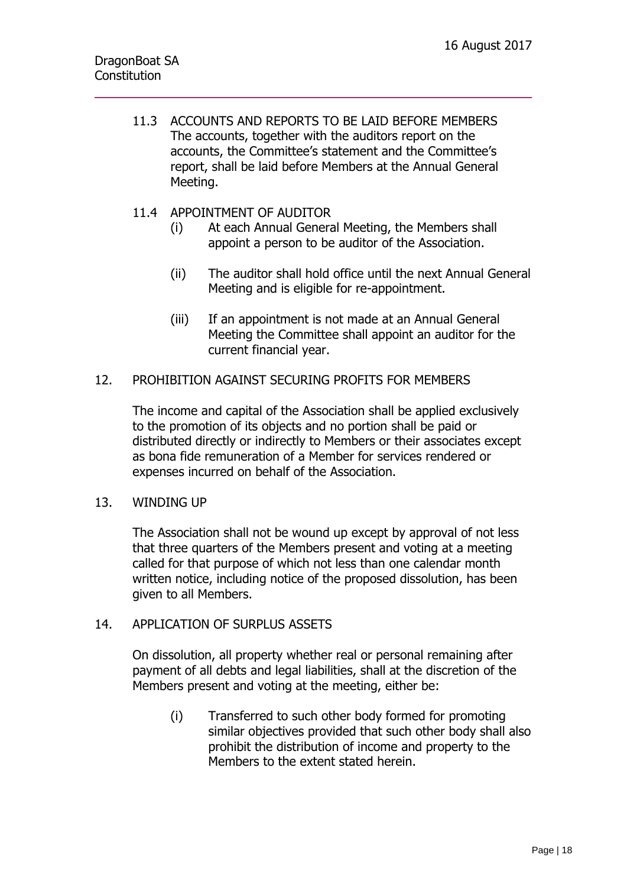11.3 ACCOUNTS AND REPORTS TO BE LAID BEFORE MEMBERS The accounts, together with the auditors report on the accounts, the Committee's statement and the Committee's report, shall be laid before Members at the Annual General Meeting.

### 11.4 APPOINTMENT OF AUDITOR

- (i) At each Annual General Meeting, the Members shall appoint a person to be auditor of the Association.
- (ii) The auditor shall hold office until the next Annual General Meeting and is eligible for re-appointment.
- (iii) If an appointment is not made at an Annual General Meeting the Committee shall appoint an auditor for the current financial year.

### 12. PROHIBITION AGAINST SECURING PROFITS FOR MEMBERS

The income and capital of the Association shall be applied exclusively to the promotion of its objects and no portion shall be paid or distributed directly or indirectly to Members or their associates except as bona fide remuneration of a Member for services rendered or expenses incurred on behalf of the Association.

#### 13. WINDING UP

The Association shall not be wound up except by approval of not less that three quarters of the Members present and voting at a meeting called for that purpose of which not less than one calendar month written notice, including notice of the proposed dissolution, has been given to all Members.

#### 14. APPLICATION OF SURPLUS ASSETS

On dissolution, all property whether real or personal remaining after payment of all debts and legal liabilities, shall at the discretion of the Members present and voting at the meeting, either be:

(i) Transferred to such other body formed for promoting similar objectives provided that such other body shall also prohibit the distribution of income and property to the Members to the extent stated herein.